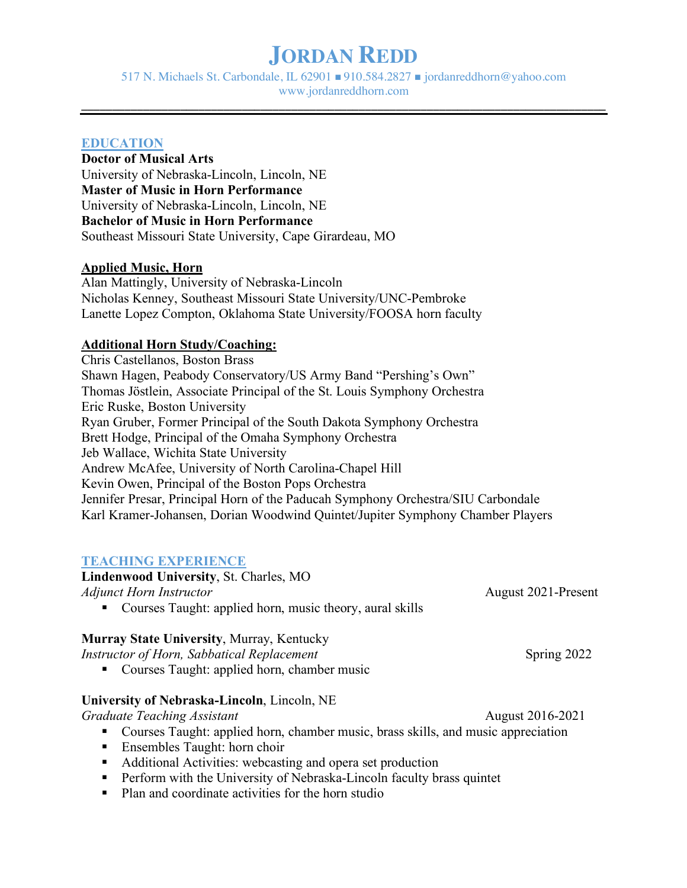517 N. Michaels St. Carbondale, IL 62901  $\blacksquare$  910.584.2827  $\blacksquare$  jordanreddhorn@yahoo.com www.jordanreddhorn.com

**\_\_\_\_\_\_\_\_\_\_\_\_\_\_\_\_\_\_\_\_\_\_\_\_\_\_\_\_\_\_\_\_\_\_\_\_\_\_\_\_\_\_\_\_\_\_\_\_\_\_\_\_\_\_\_\_\_\_\_\_\_\_\_\_\_\_\_\_\_\_\_\_\_\_\_\_\_\_\_\_\_\_\_\_\_**

#### **EDUCATION**

#### **Doctor of Musical Arts** University of Nebraska-Lincoln, Lincoln, NE

**Master of Music in Horn Performance** University of Nebraska-Lincoln, Lincoln, NE **Bachelor of Music in Horn Performance** Southeast Missouri State University, Cape Girardeau, MO

### **Applied Music, Horn**

Alan Mattingly, University of Nebraska-Lincoln Nicholas Kenney, Southeast Missouri State University/UNC-Pembroke Lanette Lopez Compton, Oklahoma State University/FOOSA horn faculty

### **Additional Horn Study/Coaching:**

Chris Castellanos, Boston Brass Shawn Hagen, Peabody Conservatory/US Army Band "Pershing's Own" Thomas Jöstlein, Associate Principal of the St. Louis Symphony Orchestra Eric Ruske, Boston University Ryan Gruber, Former Principal of the South Dakota Symphony Orchestra Brett Hodge, Principal of the Omaha Symphony Orchestra Jeb Wallace, Wichita State University Andrew McAfee, University of North Carolina-Chapel Hill Kevin Owen, Principal of the Boston Pops Orchestra Jennifer Presar, Principal Horn of the Paducah Symphony Orchestra/SIU Carbondale Karl Kramer-Johansen, Dorian Woodwind Quintet/Jupiter Symphony Chamber Players

### **TEACHING EXPERIENCE**

**Lindenwood University**, St. Charles, MO *Adjunct Horn Instructor* August 2021-Present

■ Courses Taught: applied horn, music theory, aural skills

### **Murray State University**, Murray, Kentucky

*Instructor of Horn, Sabbatical Replacement* Spring 2022

■ Courses Taught: applied horn, chamber music

### **University of Nebraska-Lincoln**, Lincoln, NE

*Graduate Teaching Assistant* August 2016-2021

- Courses Taught: applied horn, chamber music, brass skills, and music appreciation
- Ensembles Taught: horn choir
- Additional Activities: webcasting and opera set production
- Perform with the University of Nebraska-Lincoln faculty brass quintet
- Plan and coordinate activities for the horn studio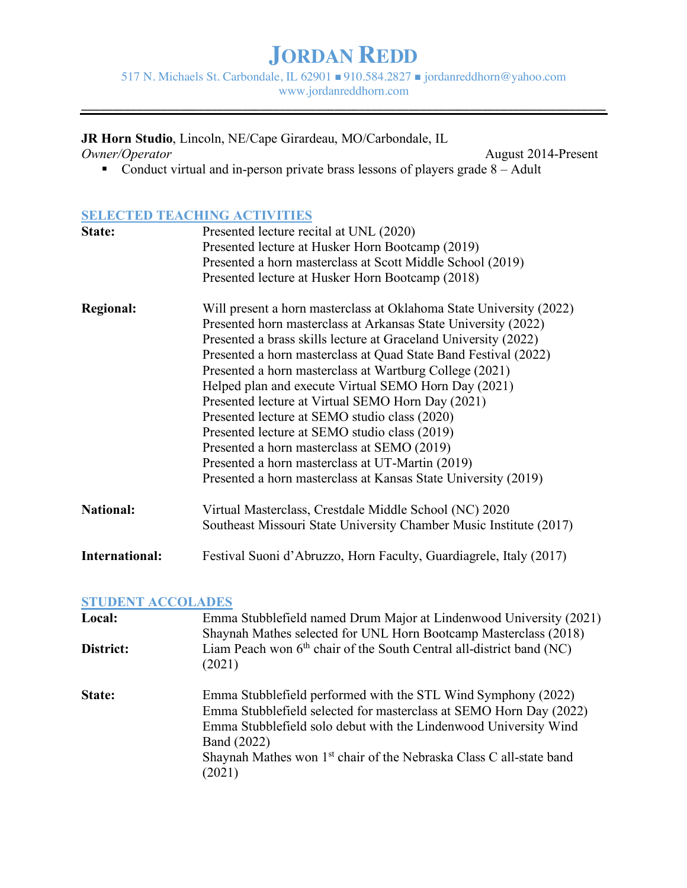517 N. Michaels St. Carbondale, IL 62901 ■ 910.584.2827 ■ jordanreddhorn@yahoo.com www.jordanreddhorn.com

**\_\_\_\_\_\_\_\_\_\_\_\_\_\_\_\_\_\_\_\_\_\_\_\_\_\_\_\_\_\_\_\_\_\_\_\_\_\_\_\_\_\_\_\_\_\_\_\_\_\_\_\_\_\_\_\_\_\_\_\_\_\_\_\_\_\_\_\_\_\_\_\_\_\_\_\_\_\_\_\_\_\_\_\_\_**

**JR Horn Studio**, Lincoln, NE/Cape Girardeau, MO/Carbondale, IL

August 2014-Present ■ Conduct virtual and in-person private brass lessons of players grade 8 – Adult

### **SELECTED TEACHING ACTIVITIES**

| State:           | Presented lecture recital at UNL (2020)                             |  |  |
|------------------|---------------------------------------------------------------------|--|--|
|                  | Presented lecture at Husker Horn Bootcamp (2019)                    |  |  |
|                  | Presented a horn masterclass at Scott Middle School (2019)          |  |  |
|                  | Presented lecture at Husker Horn Bootcamp (2018)                    |  |  |
| <b>Regional:</b> | Will present a horn masterclass at Oklahoma State University (2022) |  |  |
|                  | Presented horn masterclass at Arkansas State University (2022)      |  |  |
|                  | Presented a brass skills lecture at Graceland University (2022)     |  |  |
|                  | Presented a horn masterclass at Quad State Band Festival (2022)     |  |  |
|                  | Presented a horn masterclass at Wartburg College (2021)             |  |  |
|                  | Helped plan and execute Virtual SEMO Horn Day (2021)                |  |  |
|                  | Presented lecture at Virtual SEMO Horn Day (2021)                   |  |  |
|                  | Presented lecture at SEMO studio class (2020)                       |  |  |
|                  | Presented lecture at SEMO studio class (2019)                       |  |  |
|                  | Presented a horn masterclass at SEMO (2019)                         |  |  |
|                  | Presented a horn masterclass at UT-Martin (2019)                    |  |  |
|                  | Presented a horn masterclass at Kansas State University (2019)      |  |  |
| <b>National:</b> | Virtual Masterclass, Crestdale Middle School (NC) 2020              |  |  |
|                  | Southeast Missouri State University Chamber Music Institute (2017)  |  |  |
| International:   | Festival Suoni d'Abruzzo, Horn Faculty, Guardiagrele, Italy (2017)  |  |  |

### **STUDENT ACCOLADES**

| Local:    | Emma Stubblefield named Drum Major at Lindenwood University (2021)<br>Shaynah Mathes selected for UNL Horn Bootcamp Masterclass (2018)                                                                                                                                                                               |  |
|-----------|----------------------------------------------------------------------------------------------------------------------------------------------------------------------------------------------------------------------------------------------------------------------------------------------------------------------|--|
| District: | Liam Peach won 6 <sup>th</sup> chair of the South Central all-district band (NC)<br>(2021)                                                                                                                                                                                                                           |  |
| State:    | Emma Stubble field performed with the STL Wind Symphony (2022)<br>Emma Stubblefield selected for masterclass at SEMO Horn Day (2022)<br>Emma Stubblefield solo debut with the Lindenwood University Wind<br>Band (2022)<br>Shaynah Mathes won 1 <sup>st</sup> chair of the Nebraska Class C all-state band<br>(2021) |  |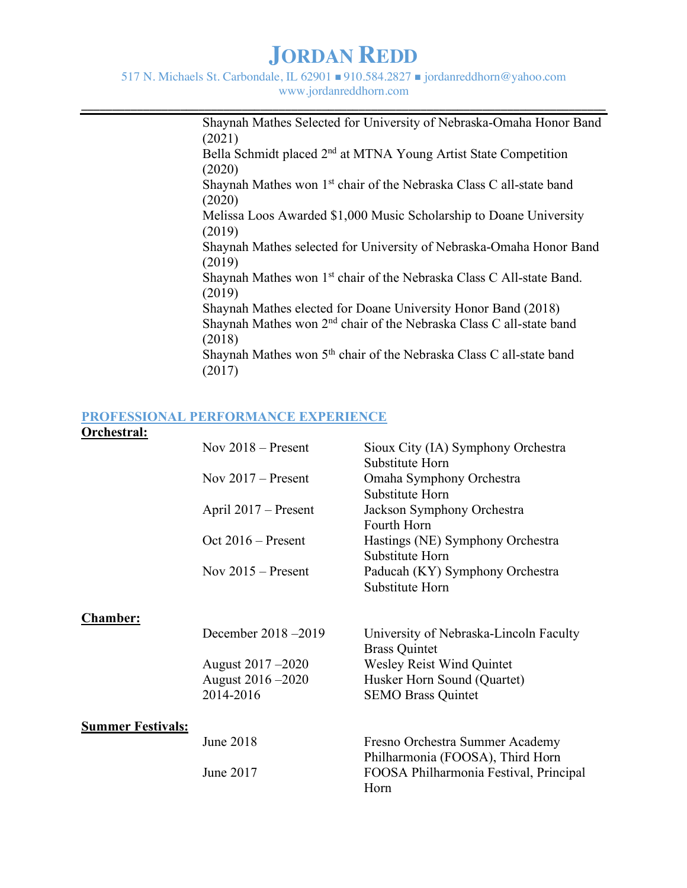517 N. Michaels St. Carbondale, IL 62901  $\blacksquare$  910.584.2827  $\blacksquare$  jordanreddhorn@yahoo.com www.jordanreddhorn.com

**\_\_\_\_\_\_\_\_\_\_\_\_\_\_\_\_\_\_\_\_\_\_\_\_\_\_\_\_\_\_\_\_\_\_\_\_\_\_\_\_\_\_\_\_\_\_\_\_\_\_\_\_\_\_\_\_\_\_\_\_\_\_\_\_\_\_\_\_\_\_\_\_\_\_\_\_\_\_\_\_\_\_\_\_\_**

Shaynah Mathes Selected for University of Nebraska-Omaha Honor Band (2021) Bella Schmidt placed 2nd at MTNA Young Artist State Competition (2020) Shaynah Mathes won 1<sup>st</sup> chair of the Nebraska Class C all-state band (2020) Melissa Loos Awarded \$1,000 Music Scholarship to Doane University (2019) Shaynah Mathes selected for University of Nebraska-Omaha Honor Band (2019) Shaynah Mathes won 1<sup>st</sup> chair of the Nebraska Class C All-state Band. (2019) Shaynah Mathes elected for Doane University Honor Band (2018) Shaynah Mathes won 2nd chair of the Nebraska Class C all-state band (2018) Shaynah Mathes won 5<sup>th</sup> chair of the Nebraska Class C all-state band (2017)

#### **PROFESSIONAL PERFORMANCE EXPERIENCE**

#### **Orchestral:**

|                          | Nov $2018$ – Present | Sioux City (IA) Symphony Orchestra                                  |
|--------------------------|----------------------|---------------------------------------------------------------------|
|                          | Nov $2017$ – Present | Substitute Horn<br>Omaha Symphony Orchestra                         |
|                          |                      | Substitute Horn                                                     |
|                          | April 2017 – Present | Jackson Symphony Orchestra                                          |
|                          |                      | Fourth Horn                                                         |
|                          | Oct $2016$ – Present | Hastings (NE) Symphony Orchestra                                    |
|                          |                      | Substitute Horn                                                     |
|                          | Nov $2015$ – Present | Paducah (KY) Symphony Orchestra                                     |
|                          |                      | Substitute Horn                                                     |
| <b>Chamber:</b>          |                      |                                                                     |
|                          | December 2018 - 2019 | University of Nebraska-Lincoln Faculty<br><b>Brass Quintet</b>      |
|                          | August 2017 -2020    | Wesley Reist Wind Quintet                                           |
|                          | August 2016 -2020    | Husker Horn Sound (Quartet)                                         |
|                          | 2014-2016            | <b>SEMO Brass Quintet</b>                                           |
| <b>Summer Festivals:</b> |                      |                                                                     |
|                          | <b>June 2018</b>     | Fresno Orchestra Summer Academy<br>Philharmonia (FOOSA), Third Horn |
|                          | June 2017            | FOOSA Philharmonia Festival, Principal<br>Horn                      |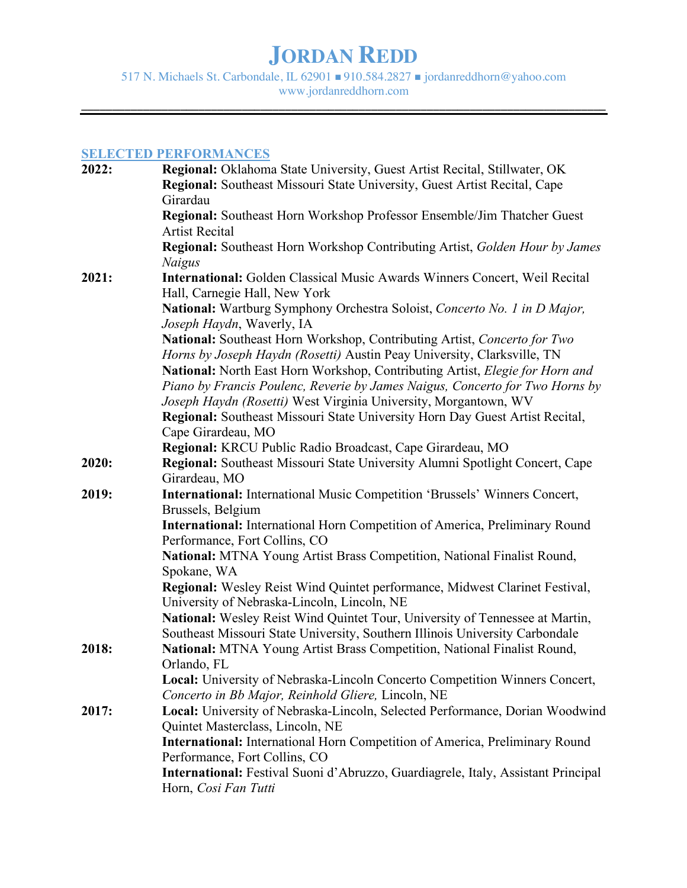517 N. Michaels St. Carbondale, IL 62901 n 910.584.2827 n jordanreddhorn@yahoo.com www.jordanreddhorn.com

**\_\_\_\_\_\_\_\_\_\_\_\_\_\_\_\_\_\_\_\_\_\_\_\_\_\_\_\_\_\_\_\_\_\_\_\_\_\_\_\_\_\_\_\_\_\_\_\_\_\_\_\_\_\_\_\_\_\_\_\_\_\_\_\_\_\_\_\_\_\_\_\_\_\_\_\_\_\_\_\_\_\_\_\_\_**

### **SELECTED PERFORMANCES**

| 2022: | <b>Regional:</b> Oklahoma State University, Guest Artist Recital, Stillwater, OK    |
|-------|-------------------------------------------------------------------------------------|
|       | <b>Regional:</b> Southeast Missouri State University, Guest Artist Recital, Cape    |
|       | Girardau                                                                            |
|       | Regional: Southeast Horn Workshop Professor Ensemble/Jim Thatcher Guest             |
|       | <b>Artist Recital</b>                                                               |
|       | Regional: Southeast Horn Workshop Contributing Artist, Golden Hour by James         |
|       | <b>Naigus</b>                                                                       |
| 2021: | <b>International:</b> Golden Classical Music Awards Winners Concert, Weil Recital   |
|       | Hall, Carnegie Hall, New York                                                       |
|       | National: Wartburg Symphony Orchestra Soloist, Concerto No. 1 in D Major,           |
|       | Joseph Haydn, Waverly, IA                                                           |
|       | National: Southeast Horn Workshop, Contributing Artist, Concerto for Two            |
|       | Horns by Joseph Haydn (Rosetti) Austin Peay University, Clarksville, TN             |
|       | National: North East Horn Workshop, Contributing Artist, Elegie for Horn and        |
|       | Piano by Francis Poulenc, Reverie by James Naigus, Concerto for Two Horns by        |
|       | Joseph Haydn (Rosetti) West Virginia University, Morgantown, WV                     |
|       | <b>Regional:</b> Southeast Missouri State University Horn Day Guest Artist Recital, |
|       | Cape Girardeau, MO                                                                  |
|       | Regional: KRCU Public Radio Broadcast, Cape Girardeau, MO                           |
| 2020: | Regional: Southeast Missouri State University Alumni Spotlight Concert, Cape        |
|       | Girardeau, MO                                                                       |
| 2019: | <b>International:</b> International Music Competition 'Brussels' Winners Concert,   |
|       | Brussels, Belgium                                                                   |
|       | <b>International:</b> International Horn Competition of America, Preliminary Round  |
|       | Performance, Fort Collins, CO                                                       |
|       | National: MTNA Young Artist Brass Competition, National Finalist Round,             |
|       | Spokane, WA                                                                         |
|       | Regional: Wesley Reist Wind Quintet performance, Midwest Clarinet Festival,         |
|       | University of Nebraska-Lincoln, Lincoln, NE                                         |
|       | National: Wesley Reist Wind Quintet Tour, University of Tennessee at Martin,        |
|       | Southeast Missouri State University, Southern Illinois University Carbondale        |
| 2018: | National: MTNA Young Artist Brass Competition, National Finalist Round,             |
|       | Orlando, FL                                                                         |
|       | Local: University of Nebraska-Lincoln Concerto Competition Winners Concert,         |
|       | Concerto in Bb Major, Reinhold Gliere, Lincoln, NE                                  |
| 2017: | Local: University of Nebraska-Lincoln, Selected Performance, Dorian Woodwind        |
|       | Quintet Masterclass, Lincoln, NE                                                    |
|       | International: International Horn Competition of America, Preliminary Round         |
|       | Performance, Fort Collins, CO                                                       |
|       | International: Festival Suoni d'Abruzzo, Guardiagrele, Italy, Assistant Principal   |
|       | Horn, Cosi Fan Tutti                                                                |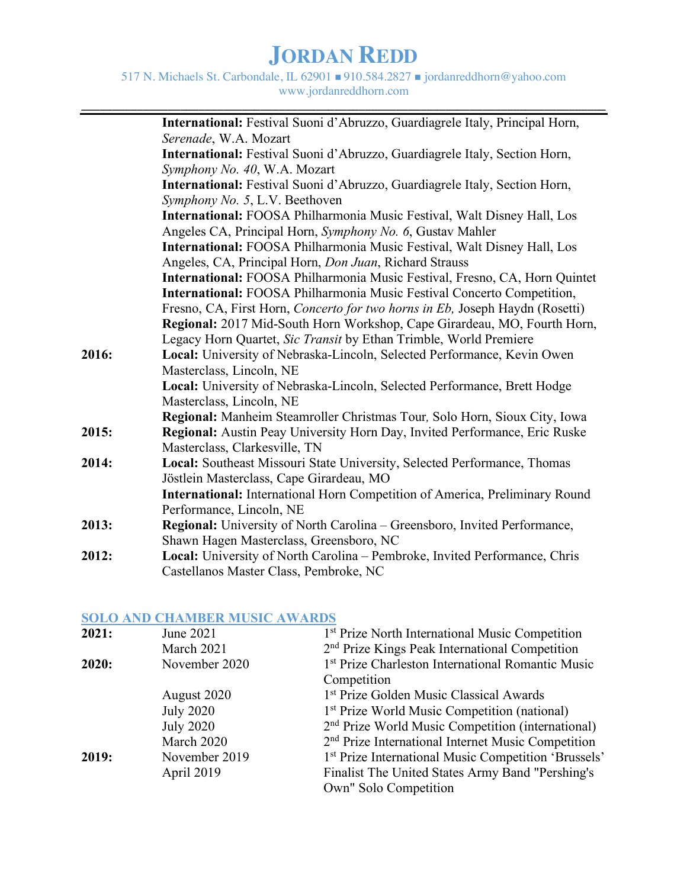517 N. Michaels St. Carbondale, IL 62901 n 910.584.2827 n jordanreddhorn@yahoo.com www.jordanreddhorn.com

**\_\_\_\_\_\_\_\_\_\_\_\_\_\_\_\_\_\_\_\_\_\_\_\_\_\_\_\_\_\_\_\_\_\_\_\_\_\_\_\_\_\_\_\_\_\_\_\_\_\_\_\_\_\_\_\_\_\_\_\_\_\_\_\_\_\_\_\_\_\_\_\_\_\_\_\_\_\_\_\_\_\_\_\_\_**

|       | International: Festival Suoni d'Abruzzo, Guardiagrele Italy, Principal Horn,       |
|-------|------------------------------------------------------------------------------------|
|       | Serenade, W.A. Mozart                                                              |
|       | International: Festival Suoni d'Abruzzo, Guardiagrele Italy, Section Horn,         |
|       | Symphony No. 40, W.A. Mozart                                                       |
|       | International: Festival Suoni d'Abruzzo, Guardiagrele Italy, Section Horn,         |
|       | Symphony No. 5, L.V. Beethoven                                                     |
|       | <b>International:</b> FOOSA Philharmonia Music Festival, Walt Disney Hall, Los     |
|       | Angeles CA, Principal Horn, Symphony No. 6, Gustav Mahler                          |
|       | International: FOOSA Philharmonia Music Festival, Walt Disney Hall, Los            |
|       | Angeles, CA, Principal Horn, <i>Don Juan</i> , Richard Strauss                     |
|       | International: FOOSA Philharmonia Music Festival, Fresno, CA, Horn Quintet         |
|       | International: FOOSA Philharmonia Music Festival Concerto Competition,             |
|       | Fresno, CA, First Horn, Concerto for two horns in Eb, Joseph Haydn (Rosetti)       |
|       | <b>Regional:</b> 2017 Mid-South Horn Workshop, Cape Girardeau, MO, Fourth Horn,    |
|       | Legacy Horn Quartet, Sic Transit by Ethan Trimble, World Premiere                  |
| 2016: | Local: University of Nebraska-Lincoln, Selected Performance, Kevin Owen            |
|       | Masterclass, Lincoln, NE                                                           |
|       | Local: University of Nebraska-Lincoln, Selected Performance, Brett Hodge           |
|       | Masterclass, Lincoln, NE                                                           |
|       | Regional: Manheim Steamroller Christmas Tour, Solo Horn, Sioux City, Iowa          |
| 2015: | Regional: Austin Peay University Horn Day, Invited Performance, Eric Ruske         |
|       | Masterclass, Clarkesville, TN                                                      |
| 2014: | Local: Southeast Missouri State University, Selected Performance, Thomas           |
|       | Jöstlein Masterclass, Cape Girardeau, MO                                           |
|       | <b>International:</b> International Horn Competition of America, Preliminary Round |
|       | Performance, Lincoln, NE                                                           |
| 2013: | Regional: University of North Carolina - Greensboro, Invited Performance,          |
|       | Shawn Hagen Masterclass, Greensboro, NC                                            |
| 2012: | Local: University of North Carolina - Pembroke, Invited Performance, Chris         |
|       | Castellanos Master Class, Pembroke, NC                                             |

### **SOLO AND CHAMBER MUSIC AWARDS**

| 2021: | June 2021        | 1 <sup>st</sup> Prize North International Music Competition    |
|-------|------------------|----------------------------------------------------------------|
|       | March 2021       | 2 <sup>nd</sup> Prize Kings Peak International Competition     |
| 2020: | November 2020    | 1 <sup>st</sup> Prize Charleston International Romantic Music  |
|       |                  | Competition                                                    |
|       | August 2020      | 1 <sup>st</sup> Prize Golden Music Classical Awards            |
|       | <b>July 2020</b> | 1 <sup>st</sup> Prize World Music Competition (national)       |
|       | <b>July 2020</b> | 2 <sup>nd</sup> Prize World Music Competition (international)  |
|       | March 2020       | 2 <sup>nd</sup> Prize International Internet Music Competition |
| 2019: | November 2019    | 1st Prize International Music Competition 'Brussels'           |
|       | April 2019       | Finalist The United States Army Band "Pershing's               |
|       |                  | Own" Solo Competition                                          |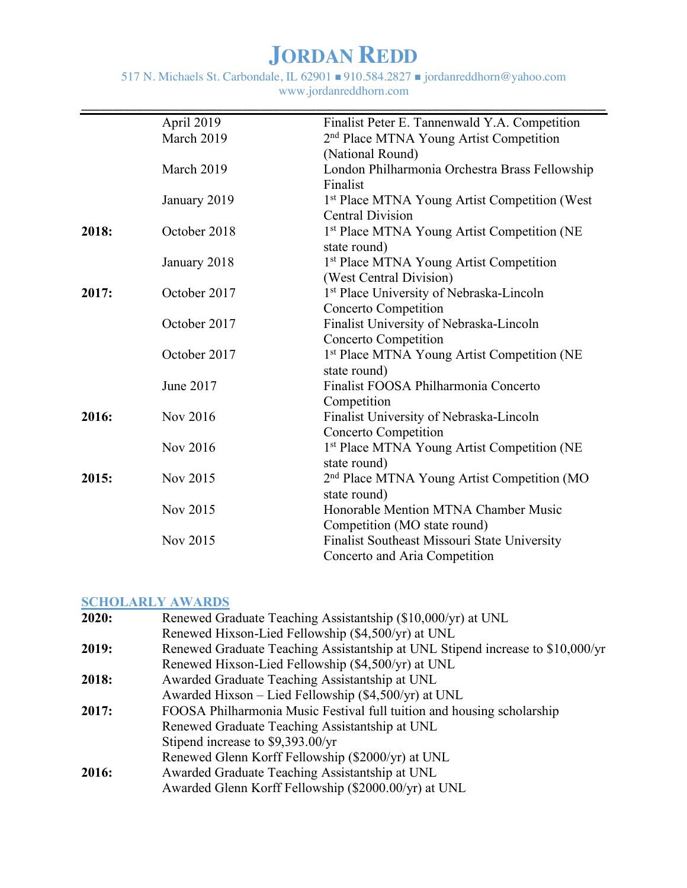517 N. Michaels St. Carbondale, IL 62901 n 910.584.2827 n jordanreddhorn@yahoo.com www.jordanreddhorn.com

|       | April 2019   | Finalist Peter E. Tannenwald Y.A. Competition             |
|-------|--------------|-----------------------------------------------------------|
|       | March 2019   | 2 <sup>nd</sup> Place MTNA Young Artist Competition       |
|       |              | (National Round)                                          |
|       | March 2019   | London Philharmonia Orchestra Brass Fellowship            |
|       |              | Finalist                                                  |
|       | January 2019 | 1 <sup>st</sup> Place MTNA Young Artist Competition (West |
|       |              | <b>Central Division</b>                                   |
| 2018: | October 2018 | 1st Place MTNA Young Artist Competition (NE               |
|       |              | state round)                                              |
|       | January 2018 | 1 <sup>st</sup> Place MTNA Young Artist Competition       |
|       |              | (West Central Division)                                   |
| 2017: | October 2017 | 1 <sup>st</sup> Place University of Nebraska-Lincoln      |
|       |              | <b>Concerto Competition</b>                               |
|       | October 2017 | Finalist University of Nebraska-Lincoln                   |
|       |              | <b>Concerto Competition</b>                               |
|       | October 2017 | 1st Place MTNA Young Artist Competition (NE               |
|       |              | state round)                                              |
|       | June 2017    | Finalist FOOSA Philharmonia Concerto                      |
|       |              | Competition                                               |
| 2016: | Nov 2016     | Finalist University of Nebraska-Lincoln                   |
|       |              | <b>Concerto Competition</b>                               |
|       | Nov 2016     | 1st Place MTNA Young Artist Competition (NE               |
|       |              | state round)                                              |
| 2015: | Nov 2015     | 2 <sup>nd</sup> Place MTNA Young Artist Competition (MO   |
|       |              | state round)                                              |
|       | Nov 2015     | Honorable Mention MTNA Chamber Music                      |
|       |              | Competition (MO state round)                              |
|       | Nov 2015     | Finalist Southeast Missouri State University              |
|       |              | Concerto and Aria Competition                             |

### **SCHOLARLY AWARDS**

| 2020: | Renewed Graduate Teaching Assistantship (\$10,000/yr) at UNL                   |
|-------|--------------------------------------------------------------------------------|
|       | Renewed Hixson-Lied Fellowship (\$4,500/yr) at UNL                             |
| 2019: | Renewed Graduate Teaching Assistantship at UNL Stipend increase to \$10,000/yr |
|       | Renewed Hixson-Lied Fellowship (\$4,500/yr) at UNL                             |
| 2018: | Awarded Graduate Teaching Assistantship at UNL                                 |
|       | Awarded Hixson – Lied Fellowship $(\$4,500/yr)$ at UNL                         |
| 2017: | FOOSA Philharmonia Music Festival full tuition and housing scholarship         |
|       | Renewed Graduate Teaching Assistantship at UNL                                 |
|       | Stipend increase to \$9,393.00/yr                                              |
|       | Renewed Glenn Korff Fellowship (\$2000/yr) at UNL                              |
| 2016: | Awarded Graduate Teaching Assistantship at UNL                                 |
|       | Awarded Glenn Korff Fellowship (\$2000.00/yr) at UNL                           |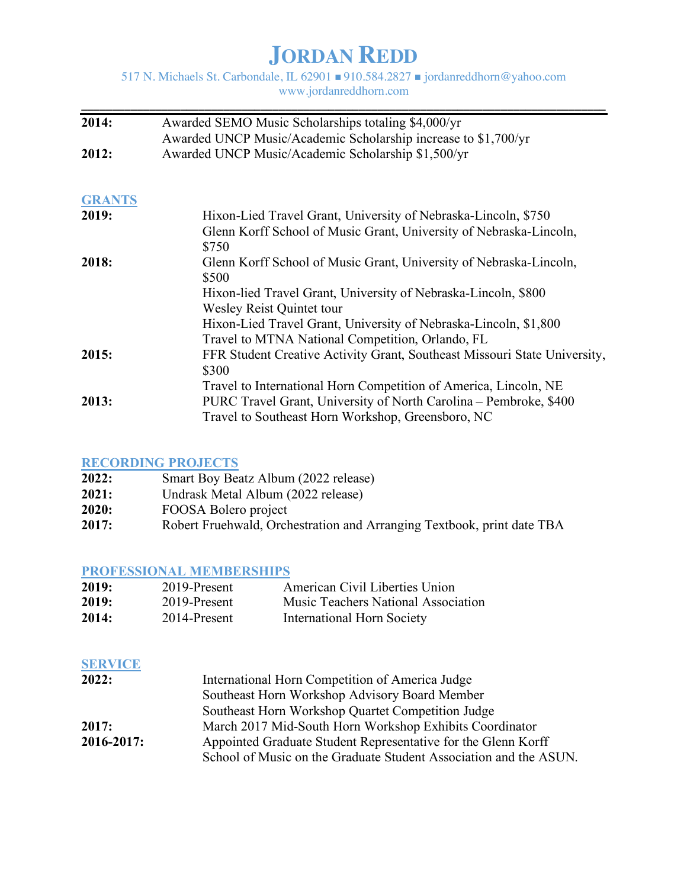517 N. Michaels St. Carbondale, IL 62901 n 910.584.2827 n jordanreddhorn@yahoo.com www.jordanreddhorn.com

| 2014:         | Awarded SEMO Music Scholarships totaling \$4,000/yr                                |  |
|---------------|------------------------------------------------------------------------------------|--|
|               | Awarded UNCP Music/Academic Scholarship increase to \$1,700/yr                     |  |
| 2012:         | Awarded UNCP Music/Academic Scholarship \$1,500/yr                                 |  |
| <b>GRANTS</b> |                                                                                    |  |
| 2019:         | Hixon-Lied Travel Grant, University of Nebraska-Lincoln, \$750                     |  |
|               | Glenn Korff School of Music Grant, University of Nebraska-Lincoln,<br>\$750        |  |
| 2018:         | Glenn Korff School of Music Grant, University of Nebraska-Lincoln,<br>\$500        |  |
|               | Hixon-lied Travel Grant, University of Nebraska-Lincoln, \$800                     |  |
|               | Wesley Reist Quintet tour                                                          |  |
|               | Hixon-Lied Travel Grant, University of Nebraska-Lincoln, \$1,800                   |  |
|               | Travel to MTNA National Competition, Orlando, FL                                   |  |
| 2015:         | FFR Student Creative Activity Grant, Southeast Missouri State University,<br>\$300 |  |
|               | Travel to International Horn Competition of America, Lincoln, NE                   |  |
| 2013:         | PURC Travel Grant, University of North Carolina - Pembroke, \$400                  |  |
|               | Travel to Southeast Horn Workshop, Greensboro, NC                                  |  |

### **RECORDING PROJECTS**

| 2022: | Smart Boy Beatz Album (2022 release)                                   |
|-------|------------------------------------------------------------------------|
| 2021: | Undrask Metal Album (2022 release)                                     |
| 2020: | FOOSA Bolero project                                                   |
| 2017: | Robert Fruehwald, Orchestration and Arranging Textbook, print date TBA |

### **PROFESSIONAL MEMBERSHIPS**

| 2019: | 2019-Present | American Civil Liberties Union             |
|-------|--------------|--------------------------------------------|
| 2019: | 2019-Present | <b>Music Teachers National Association</b> |
| 2014: | 2014-Present | International Horn Society                 |

### **SERVICE**

| 2022:      | International Horn Competition of America Judge                   |  |
|------------|-------------------------------------------------------------------|--|
|            | Southeast Horn Workshop Advisory Board Member                     |  |
|            | Southeast Horn Workshop Quartet Competition Judge                 |  |
| 2017:      | March 2017 Mid-South Horn Workshop Exhibits Coordinator           |  |
| 2016-2017: | Appointed Graduate Student Representative for the Glenn Korff     |  |
|            | School of Music on the Graduate Student Association and the ASUN. |  |